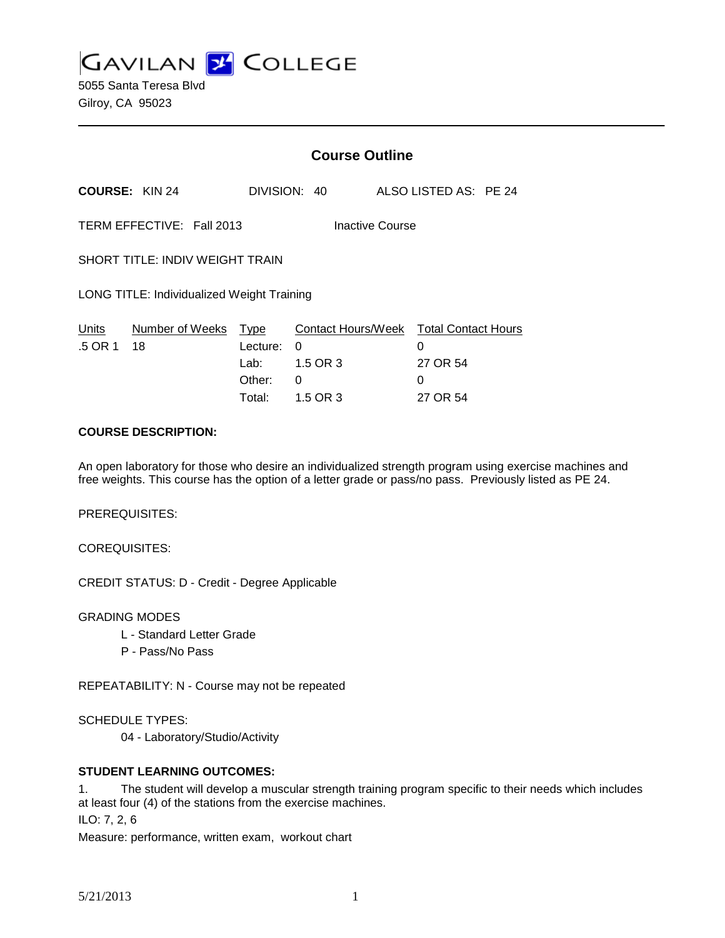**GAVILAN L'OLLEGE** 

5055 Santa Teresa Blvd Gilroy, CA 95023

|                                              |                       | <b>Course Outline</b>                                  |                                                                                 |  |                                |  |
|----------------------------------------------|-----------------------|--------------------------------------------------------|---------------------------------------------------------------------------------|--|--------------------------------|--|
|                                              | <b>COURSE: KIN 24</b> |                                                        | DIVISION: 40                                                                    |  | ALSO LISTED AS: PE 24          |  |
| TERM EFFECTIVE: Fall 2013<br>Inactive Course |                       |                                                        |                                                                                 |  |                                |  |
| <b>SHORT TITLE: INDIV WEIGHT TRAIN</b>       |                       |                                                        |                                                                                 |  |                                |  |
| LONG TITLE: Individualized Weight Training   |                       |                                                        |                                                                                 |  |                                |  |
| Units<br>.5 OR 1                             | Number of Weeks<br>18 | <b>Type</b><br>Lecture:<br>Lab: __<br>Other:<br>Total: | Contact Hours/Week Total Contact Hours<br>$\Omega$<br>1.5 OR 3<br>0<br>1.5 OR 3 |  | 0<br>27 OR 54<br>0<br>27 OR 54 |  |

#### **COURSE DESCRIPTION:**

An open laboratory for those who desire an individualized strength program using exercise machines and free weights. This course has the option of a letter grade or pass/no pass. Previously listed as PE 24.

PREREQUISITES:

COREQUISITES:

CREDIT STATUS: D - Credit - Degree Applicable

GRADING MODES

- L Standard Letter Grade
- P Pass/No Pass

REPEATABILITY: N - Course may not be repeated

SCHEDULE TYPES:

04 - Laboratory/Studio/Activity

## **STUDENT LEARNING OUTCOMES:**

1. The student will develop a muscular strength training program specific to their needs which includes at least four (4) of the stations from the exercise machines.

ILO: 7, 2, 6

Measure: performance, written exam, workout chart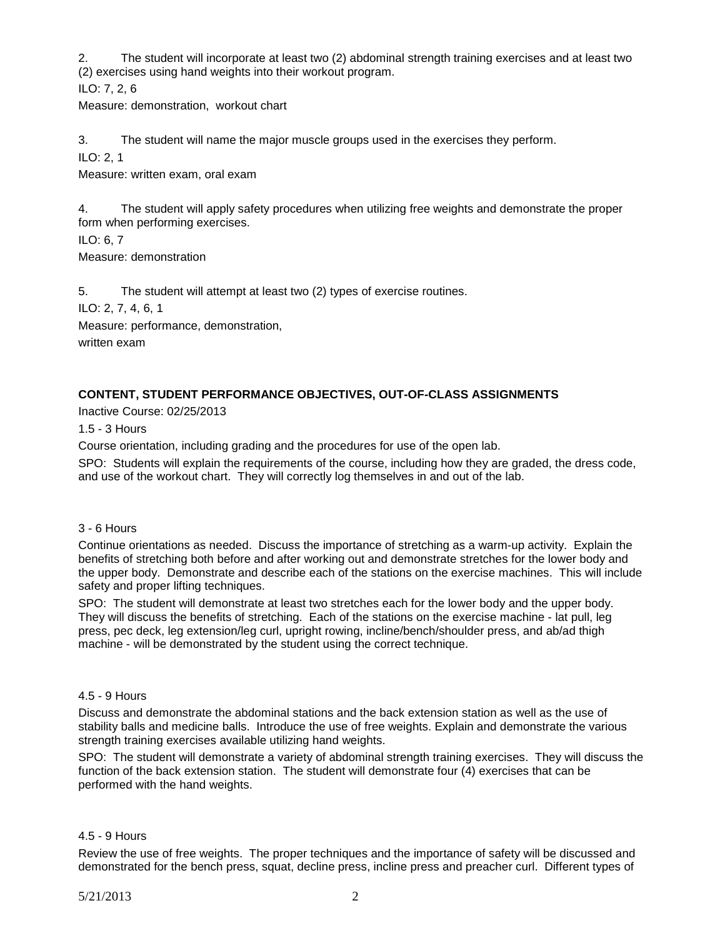2. The student will incorporate at least two (2) abdominal strength training exercises and at least two (2) exercises using hand weights into their workout program.

ILO: 7, 2, 6

Measure: demonstration, workout chart

3. The student will name the major muscle groups used in the exercises they perform.

ILO: 2, 1

Measure: written exam, oral exam

4. The student will apply safety procedures when utilizing free weights and demonstrate the proper form when performing exercises.

ILO: 6, 7 Measure: demonstration

5. The student will attempt at least two (2) types of exercise routines.

ILO: 2, 7, 4, 6, 1

Measure: performance, demonstration,

written exam

# **CONTENT, STUDENT PERFORMANCE OBJECTIVES, OUT-OF-CLASS ASSIGNMENTS**

Inactive Course: 02/25/2013

1.5 - 3 Hours

Course orientation, including grading and the procedures for use of the open lab.

SPO: Students will explain the requirements of the course, including how they are graded, the dress code, and use of the workout chart. They will correctly log themselves in and out of the lab.

## 3 - 6 Hours

Continue orientations as needed. Discuss the importance of stretching as a warm-up activity. Explain the benefits of stretching both before and after working out and demonstrate stretches for the lower body and the upper body. Demonstrate and describe each of the stations on the exercise machines. This will include safety and proper lifting techniques.

SPO: The student will demonstrate at least two stretches each for the lower body and the upper body. They will discuss the benefits of stretching. Each of the stations on the exercise machine - lat pull, leg press, pec deck, leg extension/leg curl, upright rowing, incline/bench/shoulder press, and ab/ad thigh machine - will be demonstrated by the student using the correct technique.

#### 4.5 - 9 Hours

Discuss and demonstrate the abdominal stations and the back extension station as well as the use of stability balls and medicine balls. Introduce the use of free weights. Explain and demonstrate the various strength training exercises available utilizing hand weights.

SPO: The student will demonstrate a variety of abdominal strength training exercises. They will discuss the function of the back extension station. The student will demonstrate four (4) exercises that can be performed with the hand weights.

## 4.5 - 9 Hours

Review the use of free weights. The proper techniques and the importance of safety will be discussed and demonstrated for the bench press, squat, decline press, incline press and preacher curl. Different types of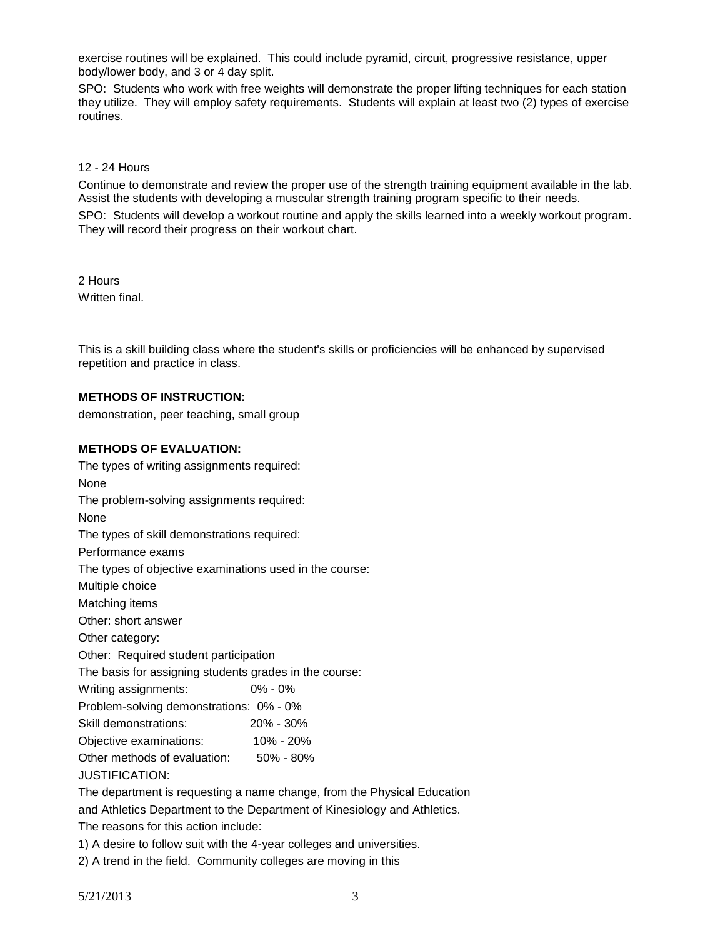exercise routines will be explained. This could include pyramid, circuit, progressive resistance, upper body/lower body, and 3 or 4 day split.

SPO: Students who work with free weights will demonstrate the proper lifting techniques for each station they utilize. They will employ safety requirements. Students will explain at least two (2) types of exercise routines.

12 - 24 Hours

Continue to demonstrate and review the proper use of the strength training equipment available in the lab. Assist the students with developing a muscular strength training program specific to their needs.

SPO: Students will develop a workout routine and apply the skills learned into a weekly workout program. They will record their progress on their workout chart.

2 Hours Written final.

This is a skill building class where the student's skills or proficiencies will be enhanced by supervised repetition and practice in class.

## **METHODS OF INSTRUCTION:**

demonstration, peer teaching, small group

#### **METHODS OF EVALUATION:**

The types of writing assignments required: None The problem-solving assignments required: None The types of skill demonstrations required: Performance exams The types of objective examinations used in the course: Multiple choice Matching items Other: short answer Other category: Other: Required student participation The basis for assigning students grades in the course: Writing assignments: 0% - 0% Problem-solving demonstrations: 0% - 0% Skill demonstrations: 20% - 30% Objective examinations: 10% - 20% Other methods of evaluation: 50% - 80% JUSTIFICATION: The department is requesting a name change, from the Physical Education and Athletics Department to the Department of Kinesiology and Athletics.

The reasons for this action include:

1) A desire to follow suit with the 4-year colleges and universities.

2) A trend in the field. Community colleges are moving in this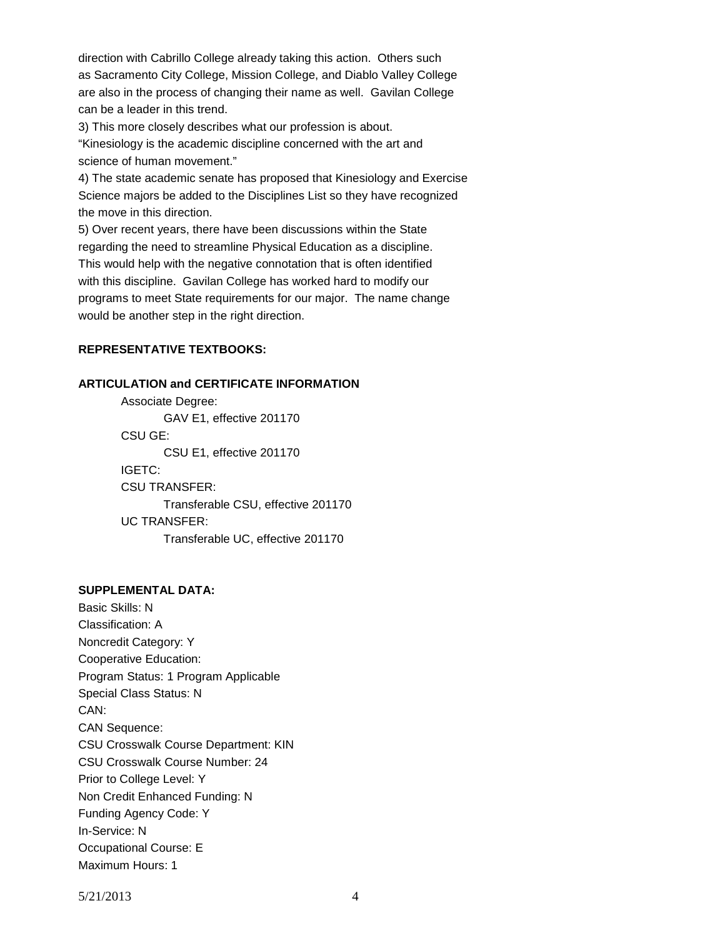direction with Cabrillo College already taking this action. Others such as Sacramento City College, Mission College, and Diablo Valley College are also in the process of changing their name as well. Gavilan College can be a leader in this trend.

3) This more closely describes what our profession is about.

"Kinesiology is the academic discipline concerned with the art and science of human movement."

4) The state academic senate has proposed that Kinesiology and Exercise Science majors be added to the Disciplines List so they have recognized the move in this direction.

5) Over recent years, there have been discussions within the State regarding the need to streamline Physical Education as a discipline. This would help with the negative connotation that is often identified with this discipline. Gavilan College has worked hard to modify our programs to meet State requirements for our major. The name change would be another step in the right direction.

#### **REPRESENTATIVE TEXTBOOKS:**

#### **ARTICULATION and CERTIFICATE INFORMATION**

Associate Degree: GAV E1, effective 201170 CSU GE: CSU E1, effective 201170 IGETC: CSU TRANSFER: Transferable CSU, effective 201170 UC TRANSFER: Transferable UC, effective 201170

## **SUPPLEMENTAL DATA:**

Basic Skills: N Classification: A Noncredit Category: Y Cooperative Education: Program Status: 1 Program Applicable Special Class Status: N CAN: CAN Sequence: CSU Crosswalk Course Department: KIN CSU Crosswalk Course Number: 24 Prior to College Level: Y Non Credit Enhanced Funding: N Funding Agency Code: Y In-Service: N Occupational Course: E Maximum Hours: 1